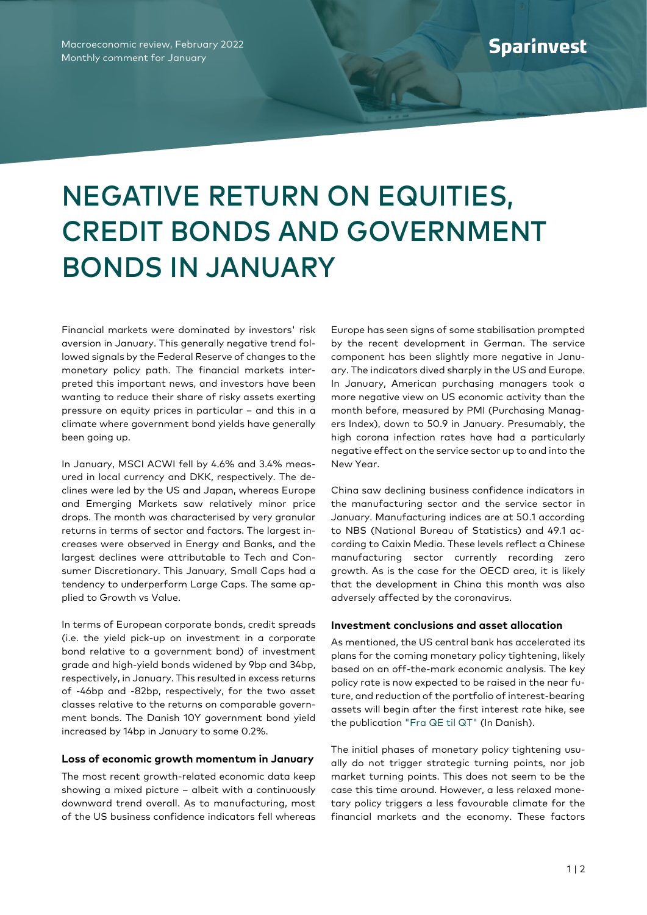Macroeconomic review, February 2022 Monthly comment for January

## NEGATIVE RETURN ON EQUITIES, CREDIT BONDS AND GOVERNMENT BONDS IN JANUARY

Financial markets were dominated by investors' risk aversion in January. This generally negative trend followed signals by the Federal Reserve of changes to the monetary policy path. The financial markets interpreted this important news, and investors have been wanting to reduce their share of risky assets exerting pressure on equity prices in particular – and this in a climate where government bond yields have generally been going up.

In January, MSCI ACWI fell by 4.6% and 3.4% measured in local currency and DKK, respectively. The declines were led by the US and Japan, whereas Europe and Emerging Markets saw relatively minor price drops. The month was characterised by very granular returns in terms of sector and factors. The largest increases were observed in Energy and Banks, and the largest declines were attributable to Tech and Consumer Discretionary. This January, Small Caps had a tendency to underperform Large Caps. The same applied to Growth vs Value.

In terms of European corporate bonds, credit spreads (i.e. the yield pick-up on investment in a corporate bond relative to a government bond) of investment grade and high-yield bonds widened by 9bp and 34bp, respectively, in January. This resulted in excess returns of -46bp and -82bp, respectively, for the two asset classes relative to the returns on comparable government bonds. The Danish 10Y government bond yield increased by 14bp in January to some 0.2%.

## **Loss of economic growth momentum in January**

The most recent growth-related economic data keep showing a mixed picture – albeit with a continuously downward trend overall. As to manufacturing, most of the US business confidence indicators fell whereas

Europe has seen signs of some stabilisation prompted by the recent development in German. The service component has been slightly more negative in January. The indicators dived sharply in the US and Europe. In January, American purchasing managers took a more negative view on US economic activity than the month before, measured by PMI (Purchasing Managers Index), down to 50.9 in January. Presumably, the high corona infection rates have had a particularly negative effect on the service sector up to and into the New Year.

China saw declining business confidence indicators in the manufacturing sector and the service sector in January. Manufacturing indices are at 50.1 according to NBS (National Bureau of Statistics) and 49.1 according to Caixin Media. These levels reflect a Chinese manufacturing sector currently recording zero growth. As is the case for the OECD area, it is likely that the development in China this month was also adversely affected by the coronavirus.

## **Investment conclusions and asset allocation**

As mentioned, the US central bank has accelerated its plans for the coming monetary policy tightening, likely based on an off-the-mark economic analysis. The key policy rate is now expected to be raised in the near future, and reduction of the portfolio of interest-bearing assets will begin after the first interest rate hike, see the publication ["Fra QE til QT"](https://www.nykredit.dk/globalassets/formue/asset-management/manedsrapporter/2022/januar/fra-qe.pdf) (In Danish).

The initial phases of monetary policy tightening usually do not trigger strategic turning points, nor job market turning points. This does not seem to be the case this time around. However, a less relaxed monetary policy triggers a less favourable climate for the financial markets and the economy. These factors